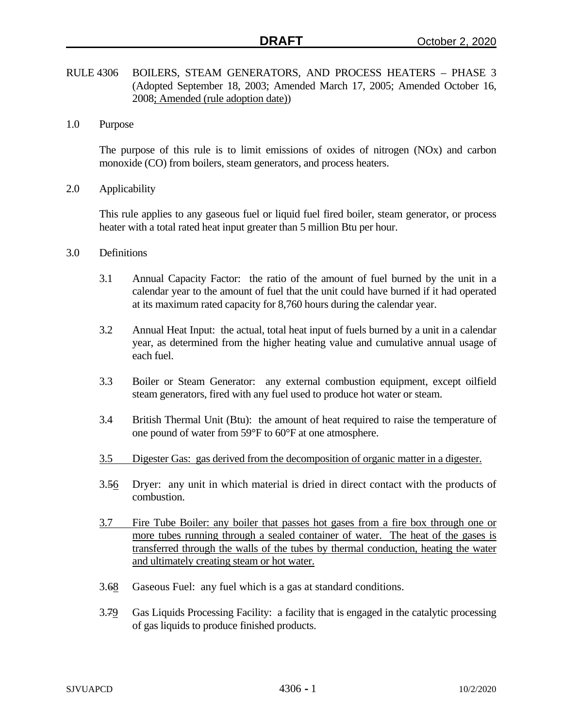- RULE 4306 BOILERS, STEAM GENERATORS, AND PROCESS HEATERS PHASE 3 (Adopted September 18, 2003; Amended March 17, 2005; Amended October 16, 2008; Amended (rule adoption date))
- 1.0 Purpose

The purpose of this rule is to limit emissions of oxides of nitrogen (NOx) and carbon monoxide (CO) from boilers, steam generators, and process heaters.

2.0 Applicability

This rule applies to any gaseous fuel or liquid fuel fired boiler, steam generator, or process heater with a total rated heat input greater than 5 million Btu per hour.

- 3.0 Definitions
	- 3.1 Annual Capacity Factor: the ratio of the amount of fuel burned by the unit in a calendar year to the amount of fuel that the unit could have burned if it had operated at its maximum rated capacity for 8,760 hours during the calendar year.
	- 3.2 Annual Heat Input: the actual, total heat input of fuels burned by a unit in a calendar year, as determined from the higher heating value and cumulative annual usage of each fuel.
	- 3.3 Boiler or Steam Generator: any external combustion equipment, except oilfield steam generators, fired with any fuel used to produce hot water or steam.
	- 3.4 British Thermal Unit (Btu): the amount of heat required to raise the temperature of one pound of water from 59°F to 60°F at one atmosphere.
	- 3.5 Digester Gas: gas derived from the decomposition of organic matter in a digester.
	- 3.56 Dryer: any unit in which material is dried in direct contact with the products of combustion.
	- 3.7 Fire Tube Boiler: any boiler that passes hot gases from a fire box through one or more tubes running through a sealed container of water. The heat of the gases is transferred through the walls of the tubes by thermal conduction, heating the water and ultimately creating steam or hot water.
	- 3.68 Gaseous Fuel: any fuel which is a gas at standard conditions.
	- 3.79 Gas Liquids Processing Facility: a facility that is engaged in the catalytic processing of gas liquids to produce finished products.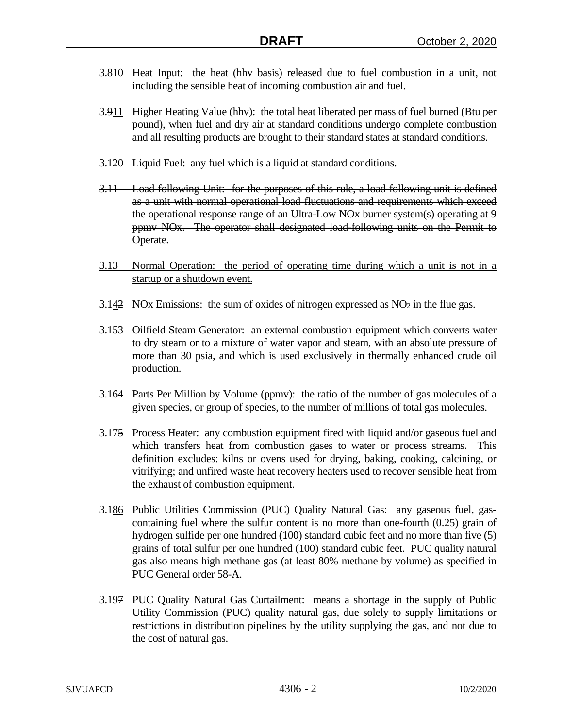- 3.810 Heat Input: the heat (hhv basis) released due to fuel combustion in a unit, not including the sensible heat of incoming combustion air and fuel.
- 3.911 Higher Heating Value (hhv): the total heat liberated per mass of fuel burned (Btu per pound), when fuel and dry air at standard conditions undergo complete combustion and all resulting products are brought to their standard states at standard conditions.
- $3.120$  Liquid Fuel: any fuel which is a liquid at standard conditions.
- 3.11 Load-following Unit: for the purposes of this rule, a load-following unit is defined as a unit with normal operational load fluctuations and requirements which exceed the operational response range of an Ultra-Low NOx burner system(s) operating at 9 ppmv NOx. The operator shall designated load-following units on the Permit to Operate.
- 3.13 Normal Operation: the period of operating time during which a unit is not in a startup or a shutdown event.
- 3.142 NOx Emissions: the sum of oxides of nitrogen expressed as  $NO<sub>2</sub>$  in the flue gas.
- 3.153 Oilfield Steam Generator: an external combustion equipment which converts water to dry steam or to a mixture of water vapor and steam, with an absolute pressure of more than 30 psia, and which is used exclusively in thermally enhanced crude oil production.
- 3.164 Parts Per Million by Volume (ppmv): the ratio of the number of gas molecules of a given species, or group of species, to the number of millions of total gas molecules.
- 3.175 Process Heater: any combustion equipment fired with liquid and/or gaseous fuel and which transfers heat from combustion gases to water or process streams. This definition excludes: kilns or ovens used for drying, baking, cooking, calcining, or vitrifying; and unfired waste heat recovery heaters used to recover sensible heat from the exhaust of combustion equipment.
- 3.186 Public Utilities Commission (PUC) Quality Natural Gas: any gaseous fuel, gascontaining fuel where the sulfur content is no more than one-fourth (0.25) grain of hydrogen sulfide per one hundred (100) standard cubic feet and no more than five (5) grains of total sulfur per one hundred (100) standard cubic feet. PUC quality natural gas also means high methane gas (at least 80% methane by volume) as specified in PUC General order 58-A.
- 3.197 PUC Quality Natural Gas Curtailment: means a shortage in the supply of Public Utility Commission (PUC) quality natural gas, due solely to supply limitations or restrictions in distribution pipelines by the utility supplying the gas, and not due to the cost of natural gas.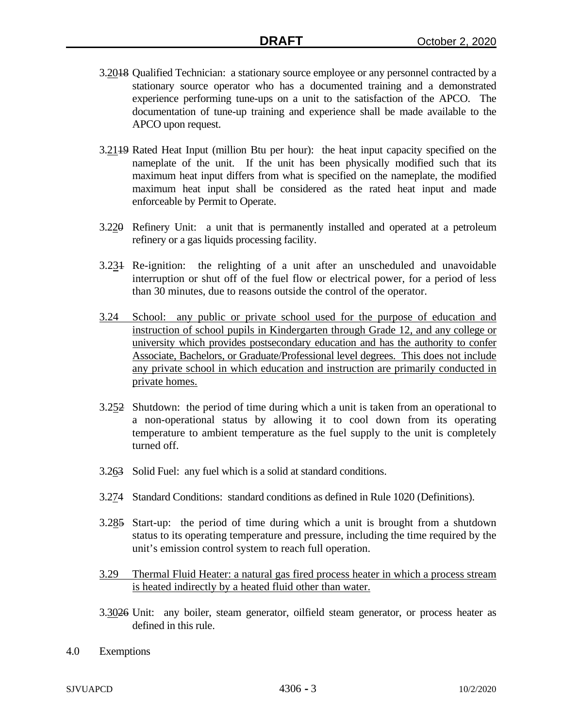- 3.2018 Qualified Technician: a stationary source employee or any personnel contracted by a stationary source operator who has a documented training and a demonstrated experience performing tune-ups on a unit to the satisfaction of the APCO. The documentation of tune-up training and experience shall be made available to the APCO upon request.
- 3.21<sup>19</sup> Rated Heat Input (million Btu per hour): the heat input capacity specified on the nameplate of the unit. If the unit has been physically modified such that its maximum heat input differs from what is specified on the nameplate, the modified maximum heat input shall be considered as the rated heat input and made enforceable by Permit to Operate.
- 3.220 Refinery Unit: a unit that is permanently installed and operated at a petroleum refinery or a gas liquids processing facility.
- 3.231 Re-ignition: the relighting of a unit after an unscheduled and unavoidable interruption or shut off of the fuel flow or electrical power, for a period of less than 30 minutes, due to reasons outside the control of the operator.
- 3.24 School: any public or private school used for the purpose of education and instruction of school pupils in Kindergarten through Grade 12, and any college or university which provides postsecondary education and has the authority to confer Associate, Bachelors, or Graduate/Professional level degrees. This does not include any private school in which education and instruction are primarily conducted in private homes.
- 3.252 Shutdown: the period of time during which a unit is taken from an operational to a non-operational status by allowing it to cool down from its operating temperature to ambient temperature as the fuel supply to the unit is completely turned off.
- 3.263 Solid Fuel: any fuel which is a solid at standard conditions.
- 3.274 Standard Conditions: standard conditions as defined in Rule 1020 (Definitions).
- 3.285 Start-up: the period of time during which a unit is brought from a shutdown status to its operating temperature and pressure, including the time required by the unit's emission control system to reach full operation.
- 3.29 Thermal Fluid Heater: a natural gas fired process heater in which a process stream is heated indirectly by a heated fluid other than water.
- 3.3026 Unit: any boiler, steam generator, oilfield steam generator, or process heater as defined in this rule.
- 4.0 Exemptions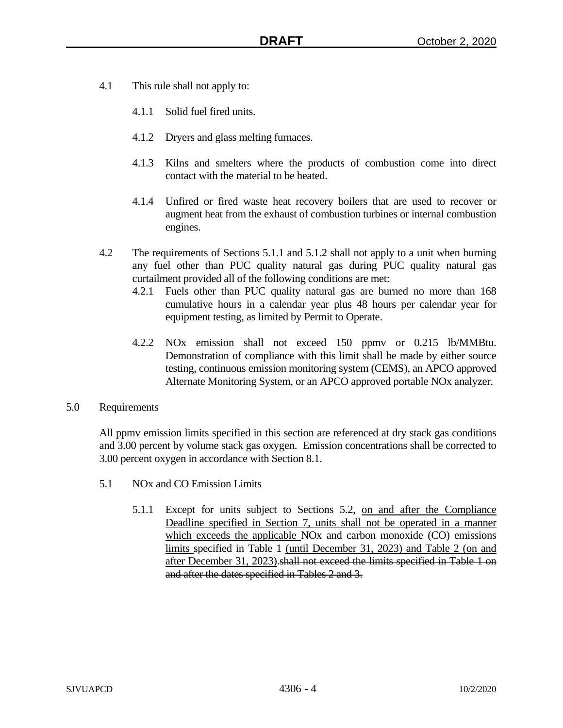- 4.1 This rule shall not apply to:
	- 4.1.1 Solid fuel fired units.
	- 4.1.2 Dryers and glass melting furnaces.
	- 4.1.3 Kilns and smelters where the products of combustion come into direct contact with the material to be heated.
	- 4.1.4 Unfired or fired waste heat recovery boilers that are used to recover or augment heat from the exhaust of combustion turbines or internal combustion engines.
- 4.2 The requirements of Sections 5.1.1 and 5.1.2 shall not apply to a unit when burning any fuel other than PUC quality natural gas during PUC quality natural gas curtailment provided all of the following conditions are met:
	- 4.2.1 Fuels other than PUC quality natural gas are burned no more than 168 cumulative hours in a calendar year plus 48 hours per calendar year for equipment testing, as limited by Permit to Operate.
	- 4.2.2 NOx emission shall not exceed 150 ppmv or 0.215 lb/MMBtu. Demonstration of compliance with this limit shall be made by either source testing, continuous emission monitoring system (CEMS), an APCO approved Alternate Monitoring System, or an APCO approved portable NOx analyzer.
- 5.0 Requirements

All ppmv emission limits specified in this section are referenced at dry stack gas conditions and 3.00 percent by volume stack gas oxygen. Emission concentrations shall be corrected to 3.00 percent oxygen in accordance with Section 8.1.

- 5.1 NOx and CO Emission Limits
	- 5.1.1 Except for units subject to Sections 5.2, on and after the Compliance Deadline specified in Section 7, units shall not be operated in a manner which exceeds the applicable NO<sub>x</sub> and carbon monoxide (CO) emissions limits specified in Table 1 (until December 31, 2023) and Table 2 (on and after December 31, 2023).shall not exceed the limits specified in Table 1 on and after the dates specified in Tables 2 and 3.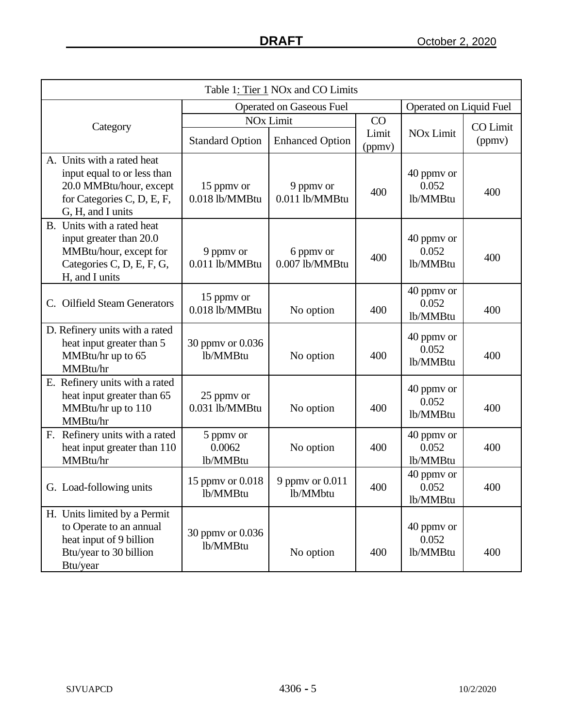| Table 1: Tier 1 NOx and CO Limits                                                                                                       |                                 |                                 |                 |                                 |                         |
|-----------------------------------------------------------------------------------------------------------------------------------------|---------------------------------|---------------------------------|-----------------|---------------------------------|-------------------------|
|                                                                                                                                         |                                 | <b>Operated on Gaseous Fuel</b> |                 |                                 | Operated on Liquid Fuel |
| Category                                                                                                                                |                                 | <b>NO<sub>x</sub></b> Limit     | CO              |                                 | CO Limit                |
|                                                                                                                                         | <b>Standard Option</b>          | <b>Enhanced Option</b>          | Limit<br>(ppmv) | <b>NOx Limit</b>                | (ppmv)                  |
| A. Units with a rated heat<br>input equal to or less than<br>20.0 MMBtu/hour, except<br>for Categories C, D, E, F,<br>G, H, and I units | 15 ppmy or<br>0.018 lb/MMBtu    | 9 ppmy or<br>0.011 lb/MMBtu     | 400             | 40 ppmy or<br>0.052<br>lb/MMBtu | 400                     |
| B. Units with a rated heat<br>input greater than 20.0<br>MMBtu/hour, except for<br>Categories C, D, E, F, G,<br>H, and I units          | 9 ppmy or<br>0.011 lb/MMBtu     | 6 ppmy or<br>0.007 lb/MMBtu     | 400             | 40 ppmy or<br>0.052<br>lb/MMBtu | 400                     |
| C. Oilfield Steam Generators                                                                                                            | 15 ppmy or<br>0.018 lb/MMBtu    | No option                       | 400             | 40 ppmy or<br>0.052<br>lb/MMBtu | 400                     |
| D. Refinery units with a rated<br>heat input greater than 5<br>MMBtu/hr up to 65<br>MMBtu/hr                                            | 30 ppmy or 0.036<br>lb/MMBtu    | No option                       | 400             | 40 ppmy or<br>0.052<br>lb/MMBtu | 400                     |
| E. Refinery units with a rated<br>heat input greater than 65<br>MMBtu/hr up to 110<br>MMBtu/hr                                          | 25 ppmy or<br>0.031 lb/MMBtu    | No option                       | 400             | 40 ppmv or<br>0.052<br>lb/MMBtu | 400                     |
| F. Refinery units with a rated<br>heat input greater than 110<br>MMBtu/hr                                                               | 5 ppmy or<br>0.0062<br>lb/MMBtu | No option                       | 400             | 40 ppmy or<br>0.052<br>lb/MMBtu | 400                     |
| G. Load-following units                                                                                                                 | 15 ppmy or 0.018<br>lb/MMBtu    | 9 ppmv or 0.011<br>lb/MMbtu     | 400             | 40 ppmy or<br>0.052<br>lb/MMBtu | 400                     |
| H. Units limited by a Permit<br>to Operate to an annual<br>heat input of 9 billion<br>Btu/year to 30 billion<br>Btu/year                | 30 ppmv or 0.036<br>lb/MMBtu    | No option                       | 400             | 40 ppmy or<br>0.052<br>lb/MMBtu | 400                     |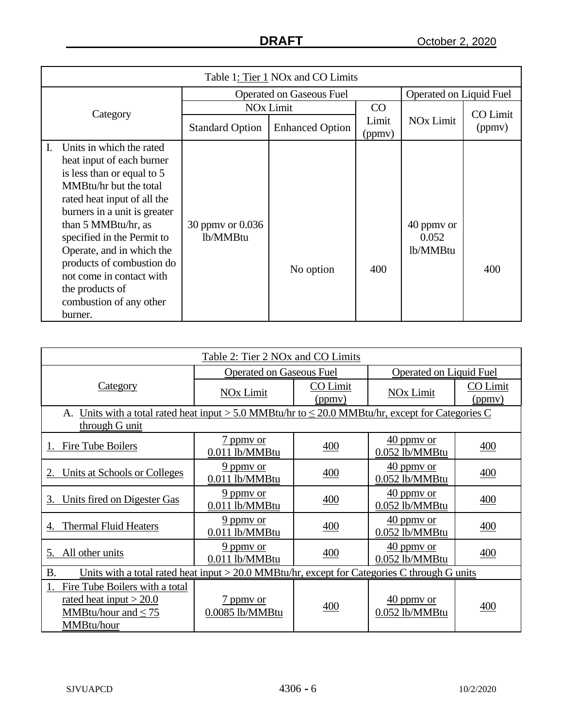| Table 1: Tier 1 NOx and CO Limits                                                                                                                                                                                                                                                                                                                                                      |                                 |                                   |                 |                                 |          |  |
|----------------------------------------------------------------------------------------------------------------------------------------------------------------------------------------------------------------------------------------------------------------------------------------------------------------------------------------------------------------------------------------|---------------------------------|-----------------------------------|-----------------|---------------------------------|----------|--|
|                                                                                                                                                                                                                                                                                                                                                                                        | <b>Operated on Gaseous Fuel</b> |                                   |                 | Operated on Liquid Fuel         |          |  |
| Category                                                                                                                                                                                                                                                                                                                                                                               |                                 | <b>NO<sub>x</sub></b> Limit<br>CO |                 |                                 | CO Limit |  |
|                                                                                                                                                                                                                                                                                                                                                                                        | <b>Standard Option</b>          | <b>Enhanced Option</b>            | Limit<br>(ppmv) | <b>NO<sub>x</sub></b> Limit     | (ppmv)   |  |
| Units in which the rated<br>Ι.<br>heat input of each burner<br>is less than or equal to 5<br>MMBtu/hr but the total<br>rated heat input of all the<br>burners in a unit is greater<br>than 5 MMBtu/hr, as<br>specified in the Permit to<br>Operate, and in which the<br>products of combustion do<br>not come in contact with<br>the products of<br>combustion of any other<br>burner. | 30 ppmy or 0.036<br>lb/MMBtu    | No option                         | 400             | 40 ppmy or<br>0.052<br>lb/MMBtu | 400      |  |

| Table 2: Tier 2 NOx and CO Limits                                                                           |                                     |                    |                                          |                    |  |
|-------------------------------------------------------------------------------------------------------------|-------------------------------------|--------------------|------------------------------------------|--------------------|--|
|                                                                                                             | <b>Operated on Gaseous Fuel</b>     |                    | Operated on Liquid Fuel                  |                    |  |
| <b>Category</b>                                                                                             | NO <sub>x</sub> Limit               | CO Limit<br>(ppmy) | NO <sub>x</sub> Limit                    | CO Limit<br>(ppmv) |  |
| A. Units with a total rated heat input > 5.0 MMBtu/hr to $\leq$ 20.0 MMBtu/hr, except for Categories C      |                                     |                    |                                          |                    |  |
| through G unit                                                                                              |                                     |                    |                                          |                    |  |
| Fire Tube Boilers                                                                                           | 7 ppmy or<br>0.011 lb/MMBtu         | 400                | $40$ ppmy or<br>0.052 lb/MMBtu           | 400                |  |
| Units at Schools or Colleges                                                                                | $9$ ppmy or<br>0.011 lb/MMBtu       | 400                | $\frac{40}{2}$ ppmy or<br>0.052 lb/MMBtu | 400                |  |
| Units fired on Digester Gas<br>3.                                                                           | $9$ ppmy or<br>0.011 lb/MMBtu       | 400                | $40$ ppmy or<br>0.052 lb/MMBtu           | 400                |  |
| <b>Thermal Fluid Heaters</b>                                                                                | $9$ ppmy or<br>0.011 lb/MMBtu       | 400                | $\frac{40}{2}$ ppmy or<br>0.052 lb/MMBtu | 400                |  |
| All other units<br>5.                                                                                       | 9 ppmy or<br>0.011 lb/MMBtu         | 400                | $40$ ppmy or<br>0.052 lb/MMBtu           | 400                |  |
| <b>B.</b><br>Units with a total rated heat input $>$ 20.0 MMBtu/hr, except for Categories C through G units |                                     |                    |                                          |                    |  |
| Fire Tube Boilers with a total<br>rated heat input $>$ 20.0<br>MMBtu/hour and $\leq 75$<br>MMBtu/hour       | <u>7 ppmy or</u><br>0.0085 lb/MMBtu | 400                | $40$ ppmy or<br>0.052 lb/MMBtu           | 400                |  |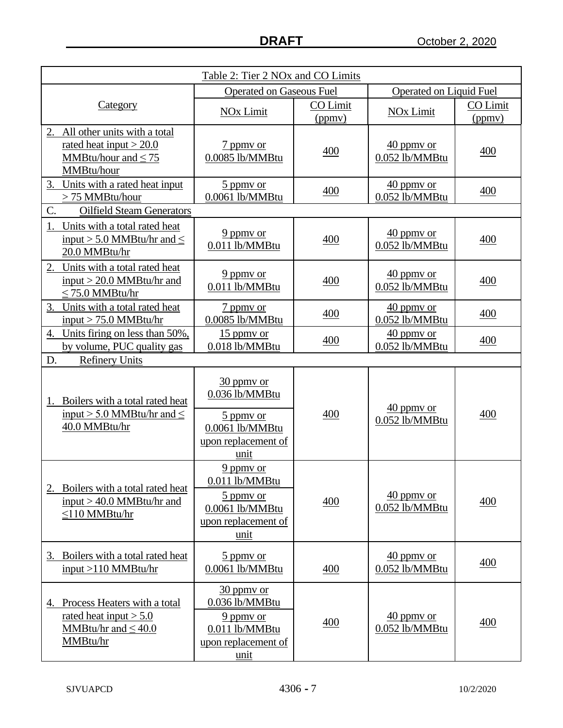| Table 2: Tier 2 NO <sub>x</sub> and CO Limits                            |                                 |          |                                |                  |     |
|--------------------------------------------------------------------------|---------------------------------|----------|--------------------------------|------------------|-----|
|                                                                          | <b>Operated on Gaseous Fuel</b> |          | <b>Operated on Liquid Fuel</b> |                  |     |
| Category                                                                 | NO <sub>x</sub> Limit           | CO Limit | NO <sub>x</sub> Limit          | <b>CO Limit</b>  |     |
|                                                                          |                                 | (ppmv)   |                                | (ppmv)           |     |
| All other units with a total<br>2.<br>rated heat input $>$ 20.0          |                                 |          |                                |                  |     |
| MMBtu/hour and $\leq 75$                                                 | 7 ppmy or<br>0.0085 lb/MMBtu    | 400      | $40$ ppmy or<br>0.052 lb/MMBtu | 400              |     |
| MMBtu/hour                                                               |                                 |          |                                |                  |     |
| Units with a rated heat input<br>3.                                      | $\frac{5 \text{ ppm}}{2}$ or    |          | $\frac{40}{2}$ ppmy or         |                  |     |
| > 75 MMBtu/hour                                                          | 0.0061 lb/MMBtu                 | 400      | 0.052 lb/MMBtu                 | 400              |     |
| C.<br><b>Oilfield Steam Generators</b>                                   |                                 |          |                                |                  |     |
| 1.<br>Units with a total rated heat                                      | $9$ ppmy or                     |          | $40$ ppmy or                   |                  |     |
| input > 5.0 MMBtu/hr and $\leq$                                          | 0.011 lb/MMBtu                  | 400      | 0.052 lb/MMBtu                 | 400              |     |
| 20.0 MMBtu/hr                                                            |                                 |          |                                |                  |     |
| Units with a total rated heat<br>2.                                      | $9$ ppmy or                     |          | $40$ ppmy or                   |                  |     |
| $input > 20.0$ MMBtu/hr and<br>$\leq$ 75.0 MMBtu/hr                      | 0.011 lb/MMBtu                  | 400      | 0.052 lb/MMBtu                 | 400              |     |
| 3. Units with a total rated heat                                         | 7 ppmy or                       |          | $40$ ppmy or                   |                  |     |
| input $> 75.0$ MMBtu/hr                                                  | 0.0085 lb/MMBtu                 | 400      | 0.052 lb/MMBtu                 | 400              |     |
| Units firing on less than 50%,<br>4.                                     | 15 ppmy or                      |          | 40 ppmy or                     |                  |     |
| by volume, PUC quality gas                                               | 0.018 lb/MMBtu                  | 400      | 0.052 lb/MMBtu                 | 400              |     |
| D.<br><b>Refinery Units</b>                                              |                                 |          |                                |                  |     |
|                                                                          | $30$ ppmy or                    |          |                                |                  |     |
|                                                                          | 0.036 lb/MMBtu                  |          |                                |                  |     |
| Boilers with a total rated heat<br>1.<br>input > 5.0 MMBtu/hr and $\leq$ |                                 | 400      | $\frac{40}{2}$ ppmy or         | 400              |     |
| 40.0 MMBtu/hr                                                            | 5 ppmy or<br>0.0061 lb/MMBtu    |          | 0.052 lb/MMBtu                 |                  |     |
|                                                                          | upon replacement of             |          |                                |                  |     |
|                                                                          | unit                            |          |                                |                  |     |
|                                                                          | $9$ ppmy or                     |          |                                |                  |     |
|                                                                          | 0.011 lb/MMBtu                  |          |                                |                  |     |
| 2. Boilers with a total rated heat<br>input $> 40.0$ MMBtu/hr and        | 5 ppmy or                       | 400      | $40$ ppmy or                   | 400              |     |
| $\leq$ 10 MMBtu/hr                                                       | $0.0061$ lb/MMBtu               |          | 0.052 lb/MMBtu                 |                  |     |
|                                                                          | upon replacement of             |          |                                |                  |     |
|                                                                          | unit                            |          |                                |                  |     |
| 3. Boilers with a total rated heat                                       | 5 ppmy or                       |          | $40$ ppmy or                   |                  |     |
| input >110 MMBtu/hr                                                      | 0.0061 lb/MMBtu                 | 400      | 0.052 lb/MMBtu                 | 400              |     |
|                                                                          | $30$ ppmy or                    |          |                                |                  |     |
| Process Heaters with a total<br>4.                                       | $0.036$ lb/MMBtu                |          |                                |                  |     |
| rated heat input $> 5.0$                                                 | 9 ppmy or                       |          | $40$ ppmy or                   |                  |     |
| MMBtu/hr and $\leq 40.0$                                                 | 0.011 lb/MMBtu                  | 400      |                                | $0.052$ lb/MMBtu | 400 |
| MMBtu/hr                                                                 | upon replacement of             |          |                                |                  |     |
|                                                                          | unit                            |          |                                |                  |     |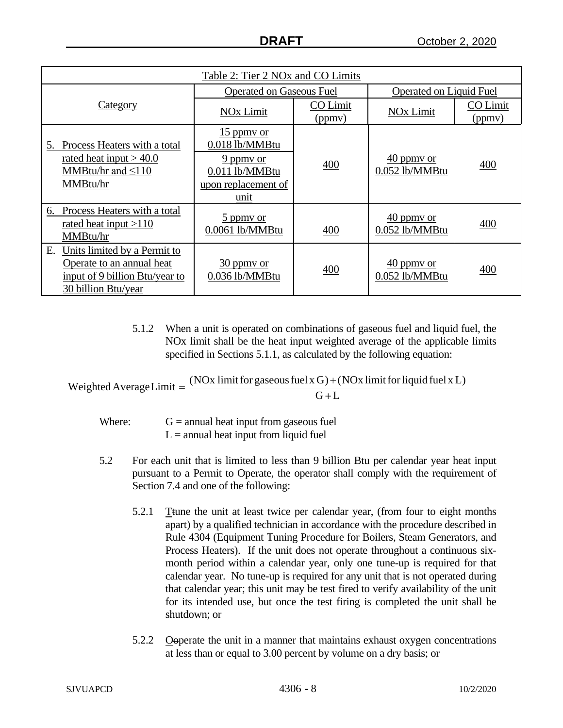| Table 2: Tier 2 NOx and CO Limits                                                                                        |                                                                                              |                    |                                |                    |  |
|--------------------------------------------------------------------------------------------------------------------------|----------------------------------------------------------------------------------------------|--------------------|--------------------------------|--------------------|--|
|                                                                                                                          | <b>Operated on Gaseous Fuel</b>                                                              |                    | Operated on Liquid Fuel        |                    |  |
| Category                                                                                                                 | <b>NO<sub>x</sub></b> Limit                                                                  | CO Limit<br>(ppmy) | NO <sub>x</sub> Limit          | CO Limit<br>(ppmv) |  |
| Process Heaters with a total<br>5.<br>rated heat input $> 40.0$<br>MMBtu/hr and $\leq$ 110<br>MMBtu/hr                   | $15$ ppmy or<br>0.018 lb/MMBtu<br>9 ppmy or<br>0.011 lb/MMBtu<br>upon replacement of<br>unit | 400                | $40$ ppmy or<br>0.052 lb/MMBtu | 400                |  |
| Process Heaters with a total<br>6.<br>rated heat input $>110$<br>MMBtu/hr                                                | 5 ppmy or<br>0.0061 lb/MMBtu                                                                 | 400                | $40$ ppmy or<br>0.052 lb/MMBtu | 400                |  |
| E.<br>Units limited by a Permit to<br>Operate to an annual heat<br>input of 9 billion Btu/year to<br>30 billion Btu/year | $\frac{30}{20}$ ppmy or<br>0.036 lb/MMBtu                                                    | 400                | $40$ ppmy or<br>0.052 lb/MMBtu | 400                |  |

5.1.2 When a unit is operated on combinations of gaseous fuel and liquid fuel, the NOx limit shall be the heat input weighted average of the applicable limits specified in Sections 5.1.1, as calculated by the following equation:

 $G+L$ Weighted AverageLimit  $=\frac{(NOx \text{ limit for gaseous fuel x G}) + (NOx \text{ limit for liquid fuel x L})}{G}$ +  $=\frac{(NQx \text{ limit for gaseous fuel} x G)+}{Z}$ 

Where:  $G =$  annual heat input from gaseous fuel  $L =$  annual heat input from liquid fuel

- 5.2 For each unit that is limited to less than 9 billion Btu per calendar year heat input pursuant to a Permit to Operate, the operator shall comply with the requirement of Section 7.4 and one of the following:
	- 5.2.1 Ttune the unit at least twice per calendar year, (from four to eight months apart) by a qualified technician in accordance with the procedure described in Rule 4304 (Equipment Tuning Procedure for Boilers, Steam Generators, and Process Heaters). If the unit does not operate throughout a continuous sixmonth period within a calendar year, only one tune-up is required for that calendar year. No tune-up is required for any unit that is not operated during that calendar year; this unit may be test fired to verify availability of the unit for its intended use, but once the test firing is completed the unit shall be shutdown; or
	- 5.2.2 Ooperate the unit in a manner that maintains exhaust oxygen concentrations at less than or equal to 3.00 percent by volume on a dry basis; or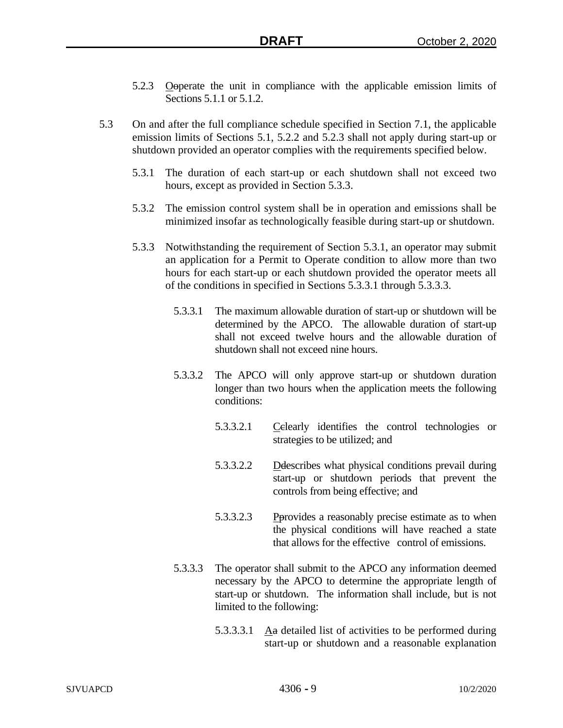- 5.2.3 Ooperate the unit in compliance with the applicable emission limits of Sections 5.1.1 or 5.1.2.
- 5.3 On and after the full compliance schedule specified in Section 7.1, the applicable emission limits of Sections 5.1, 5.2.2 and 5.2.3 shall not apply during start-up or shutdown provided an operator complies with the requirements specified below.
	- 5.3.1 The duration of each start-up or each shutdown shall not exceed two hours, except as provided in Section 5.3.3.
	- 5.3.2 The emission control system shall be in operation and emissions shall be minimized insofar as technologically feasible during start-up or shutdown.
	- 5.3.3 Notwithstanding the requirement of Section 5.3.1, an operator may submit an application for a Permit to Operate condition to allow more than two hours for each start-up or each shutdown provided the operator meets all of the conditions in specified in Sections 5.3.3.1 through 5.3.3.3.
		- 5.3.3.1 The maximum allowable duration of start-up or shutdown will be determined by the APCO. The allowable duration of start-up shall not exceed twelve hours and the allowable duration of shutdown shall not exceed nine hours.
		- 5.3.3.2 The APCO will only approve start-up or shutdown duration longer than two hours when the application meets the following conditions:
			- 5.3.3.2.1 Celearly identifies the control technologies or strategies to be utilized; and
			- 5.3.3.2.2 Ddescribes what physical conditions prevail during start-up or shutdown periods that prevent the controls from being effective; and
			- 5.3.3.2.3 Pprovides a reasonably precise estimate as to when the physical conditions will have reached a state that allows for the effective control of emissions.
		- 5.3.3.3 The operator shall submit to the APCO any information deemed necessary by the APCO to determine the appropriate length of start-up or shutdown. The information shall include, but is not limited to the following:
			- 5.3.3.3.1  $\Delta a$  detailed list of activities to be performed during start-up or shutdown and a reasonable explanation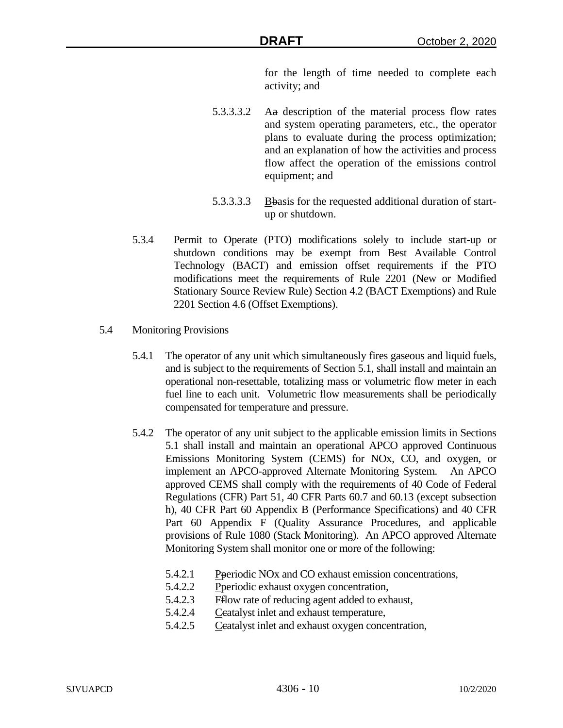for the length of time needed to complete each activity; and

- 5.3.3.3.2 Aa description of the material process flow rates and system operating parameters, etc., the operator plans to evaluate during the process optimization; and an explanation of how the activities and process flow affect the operation of the emissions control equipment; and
- 5.3.3.3.3 Bbasis for the requested additional duration of startup or shutdown.
- 5.3.4 Permit to Operate (PTO) modifications solely to include start-up or shutdown conditions may be exempt from Best Available Control Technology (BACT) and emission offset requirements if the PTO modifications meet the requirements of Rule 2201 (New or Modified Stationary Source Review Rule) Section 4.2 (BACT Exemptions) and Rule 2201 Section 4.6 (Offset Exemptions).
- 5.4 Monitoring Provisions
	- 5.4.1 The operator of any unit which simultaneously fires gaseous and liquid fuels, and is subject to the requirements of Section 5.1, shall install and maintain an operational non-resettable, totalizing mass or volumetric flow meter in each fuel line to each unit. Volumetric flow measurements shall be periodically compensated for temperature and pressure.
	- 5.4.2 The operator of any unit subject to the applicable emission limits in Sections 5.1 shall install and maintain an operational APCO approved Continuous Emissions Monitoring System (CEMS) for NOx, CO, and oxygen, or implement an APCO-approved Alternate Monitoring System. An APCO approved CEMS shall comply with the requirements of 40 Code of Federal Regulations (CFR) Part 51, 40 CFR Parts 60.7 and 60.13 (except subsection h), 40 CFR Part 60 Appendix B (Performance Specifications) and 40 CFR Part 60 Appendix F (Quality Assurance Procedures, and applicable provisions of Rule 1080 (Stack Monitoring). An APCO approved Alternate Monitoring System shall monitor one or more of the following:
		- 5.4.2.1 Pperiodic NOx and CO exhaust emission concentrations,
		- 5.4.2.2 Pperiodic exhaust oxygen concentration,
		- 5.4.2.3 Fflow rate of reducing agent added to exhaust,
		- 5.4.2.4 Ceatalyst inlet and exhaust temperature,
		- 5.4.2.5 Ccatalyst inlet and exhaust oxygen concentration,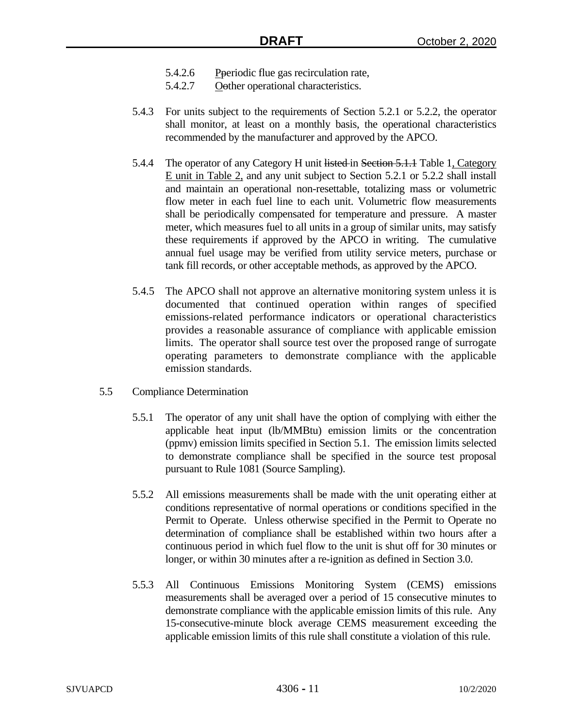- 5.4.2.6 Pperiodic flue gas recirculation rate,
- 5.4.2.7 Oother operational characteristics.
- 5.4.3 For units subject to the requirements of Section 5.2.1 or 5.2.2, the operator shall monitor, at least on a monthly basis, the operational characteristics recommended by the manufacturer and approved by the APCO.
- 5.4.4 The operator of any Category H unit listed in Section 5.1.1 Table 1, Category E unit in Table 2, and any unit subject to Section 5.2.1 or 5.2.2 shall install and maintain an operational non-resettable, totalizing mass or volumetric flow meter in each fuel line to each unit. Volumetric flow measurements shall be periodically compensated for temperature and pressure. A master meter, which measures fuel to all units in a group of similar units, may satisfy these requirements if approved by the APCO in writing. The cumulative annual fuel usage may be verified from utility service meters, purchase or tank fill records, or other acceptable methods, as approved by the APCO.
- 5.4.5 The APCO shall not approve an alternative monitoring system unless it is documented that continued operation within ranges of specified emissions-related performance indicators or operational characteristics provides a reasonable assurance of compliance with applicable emission limits. The operator shall source test over the proposed range of surrogate operating parameters to demonstrate compliance with the applicable emission standards.
- 5.5 Compliance Determination
	- 5.5.1 The operator of any unit shall have the option of complying with either the applicable heat input (lb/MMBtu) emission limits or the concentration (ppmv) emission limits specified in Section 5.1. The emission limits selected to demonstrate compliance shall be specified in the source test proposal pursuant to Rule 1081 (Source Sampling).
	- 5.5.2 All emissions measurements shall be made with the unit operating either at conditions representative of normal operations or conditions specified in the Permit to Operate. Unless otherwise specified in the Permit to Operate no determination of compliance shall be established within two hours after a continuous period in which fuel flow to the unit is shut off for 30 minutes or longer, or within 30 minutes after a re-ignition as defined in Section 3.0.
	- 5.5.3 All Continuous Emissions Monitoring System (CEMS) emissions measurements shall be averaged over a period of 15 consecutive minutes to demonstrate compliance with the applicable emission limits of this rule. Any 15-consecutive-minute block average CEMS measurement exceeding the applicable emission limits of this rule shall constitute a violation of this rule.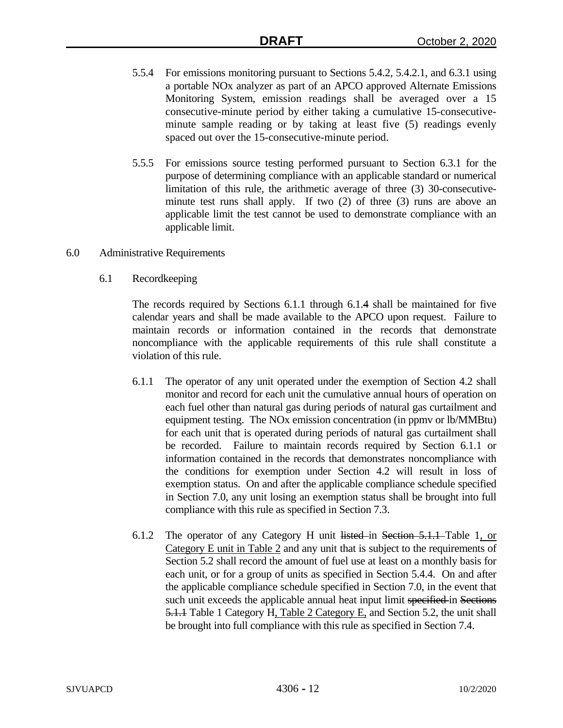- 5.5.4 For emissions monitoring pursuant to Sections 5.4.2, 5.4.2.1, and 6.3.1 using a portable NOx analyzer as part of an APCO approved Alternate Emissions Monitoring System, emission readings shall be averaged over a 15 consecutive-minute period by either taking a cumulative 15-consecutiveminute sample reading or by taking at least five (5) readings evenly spaced out over the 15-consecutive-minute period.
- 5.5.5 For emissions source testing performed pursuant to Section 6.3.1 for the purpose of determining compliance with an applicable standard or numerical limitation of this rule, the arithmetic average of three (3) 30-consecutiveminute test runs shall apply. If two (2) of three (3) runs are above an applicable limit the test cannot be used to demonstrate compliance with an applicable limit.
- 6.0 Administrative Requirements
	- 6.1 Recordkeeping

The records required by Sections 6.1.1 through 6.1.4 shall be maintained for five calendar years and shall be made available to the APCO upon request. Failure to maintain records or information contained in the records that demonstrate noncompliance with the applicable requirements of this rule shall constitute a violation of this rule.

- 6.1.1 The operator of any unit operated under the exemption of Section 4.2 shall monitor and record for each unit the cumulative annual hours of operation on each fuel other than natural gas during periods of natural gas curtailment and equipment testing. The NOx emission concentration (in ppmv or lb/MMBtu) for each unit that is operated during periods of natural gas curtailment shall be recorded. Failure to maintain records required by Section 6.1.1 or information contained in the records that demonstrates noncompliance with the conditions for exemption under Section 4.2 will result in loss of exemption status. On and after the applicable compliance schedule specified in Section 7.0, any unit losing an exemption status shall be brought into full compliance with this rule as specified in Section 7.3.
- 6.1.2 The operator of any Category H unit listed in Section 5.1.1 Table 1, or Category E unit in Table 2 and any unit that is subject to the requirements of Section 5.2 shall record the amount of fuel use at least on a monthly basis for each unit, or for a group of units as specified in Section 5.4.4. On and after the applicable compliance schedule specified in Section 7.0, in the event that such unit exceeds the applicable annual heat input limit specified in Sections 5.1.1 Table 1 Category H, Table 2 Category E, and Section 5.2, the unit shall be brought into full compliance with this rule as specified in Section 7.4.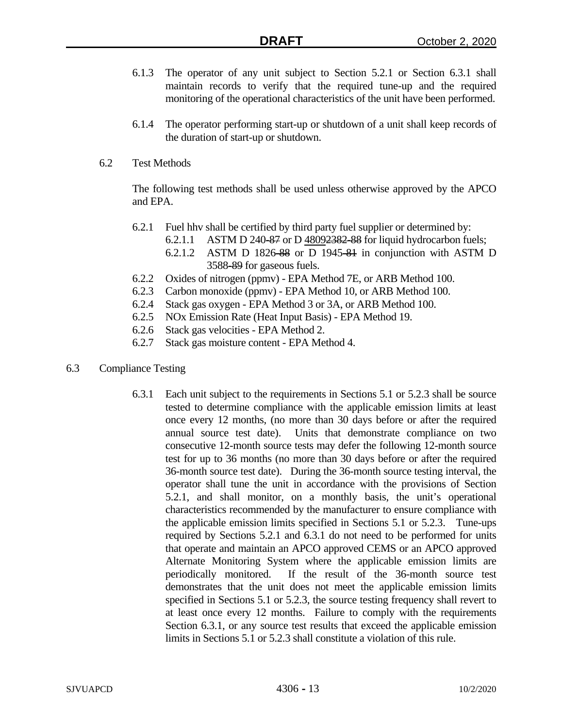- 6.1.3 The operator of any unit subject to Section 5.2.1 or Section 6.3.1 shall maintain records to verify that the required tune-up and the required monitoring of the operational characteristics of the unit have been performed.
- 6.1.4 The operator performing start-up or shutdown of a unit shall keep records of the duration of start-up or shutdown.
- 6.2 Test Methods

The following test methods shall be used unless otherwise approved by the APCO and EPA.

- 6.2.1 Fuel hhv shall be certified by third party fuel supplier or determined by:
	- 6.2.1.1 ASTM D 240-87 or D 48092382-88 for liquid hydrocarbon fuels;
	- 6.2.1.2 ASTM D 1826-88 or D 1945-81 in conjunction with ASTM D 3588-89 for gaseous fuels.
- 6.2.2 Oxides of nitrogen (ppmv) EPA Method 7E, or ARB Method 100.
- 6.2.3 Carbon monoxide (ppmv) EPA Method 10, or ARB Method 100.
- 6.2.4 Stack gas oxygen EPA Method 3 or 3A, or ARB Method 100.
- 6.2.5 NOx Emission Rate (Heat Input Basis) EPA Method 19.
- 6.2.6 Stack gas velocities EPA Method 2.
- 6.2.7 Stack gas moisture content EPA Method 4.
- 6.3 Compliance Testing
	- 6.3.1 Each unit subject to the requirements in Sections 5.1 or 5.2.3 shall be source tested to determine compliance with the applicable emission limits at least once every 12 months, (no more than 30 days before or after the required annual source test date). Units that demonstrate compliance on two consecutive 12-month source tests may defer the following 12-month source test for up to 36 months (no more than 30 days before or after the required 36-month source test date). During the 36-month source testing interval, the operator shall tune the unit in accordance with the provisions of Section 5.2.1, and shall monitor, on a monthly basis, the unit's operational characteristics recommended by the manufacturer to ensure compliance with the applicable emission limits specified in Sections 5.1 or 5.2.3. Tune-ups required by Sections 5.2.1 and 6.3.1 do not need to be performed for units that operate and maintain an APCO approved CEMS or an APCO approved Alternate Monitoring System where the applicable emission limits are periodically monitored. If the result of the 36-month source test demonstrates that the unit does not meet the applicable emission limits specified in Sections 5.1 or 5.2.3, the source testing frequency shall revert to at least once every 12 months. Failure to comply with the requirements Section 6.3.1, or any source test results that exceed the applicable emission limits in Sections 5.1 or 5.2.3 shall constitute a violation of this rule.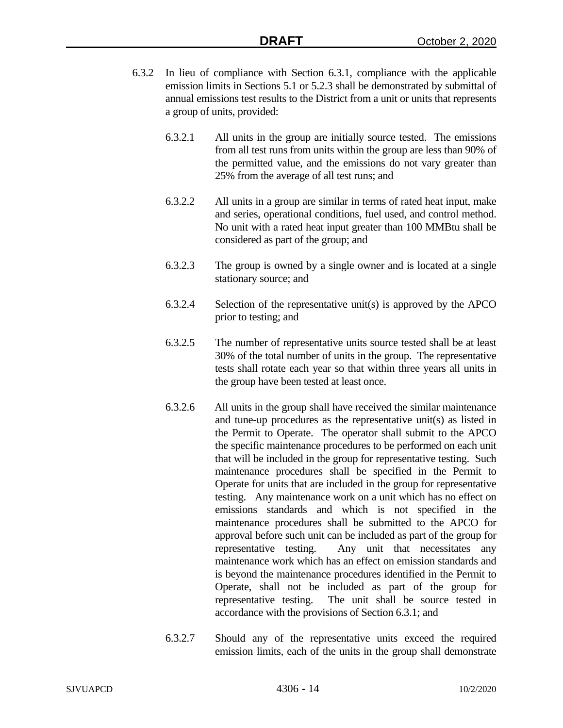- 6.3.2 In lieu of compliance with Section 6.3.1, compliance with the applicable emission limits in Sections 5.1 or 5.2.3 shall be demonstrated by submittal of annual emissions test results to the District from a unit or units that represents a group of units, provided:
	- 6.3.2.1 All units in the group are initially source tested. The emissions from all test runs from units within the group are less than 90% of the permitted value, and the emissions do not vary greater than 25% from the average of all test runs; and
	- 6.3.2.2 All units in a group are similar in terms of rated heat input, make and series, operational conditions, fuel used, and control method. No unit with a rated heat input greater than 100 MMBtu shall be considered as part of the group; and
	- 6.3.2.3 The group is owned by a single owner and is located at a single stationary source; and
	- 6.3.2.4 Selection of the representative unit(s) is approved by the APCO prior to testing; and
	- 6.3.2.5 The number of representative units source tested shall be at least 30% of the total number of units in the group. The representative tests shall rotate each year so that within three years all units in the group have been tested at least once.
	- 6.3.2.6 All units in the group shall have received the similar maintenance and tune-up procedures as the representative unit(s) as listed in the Permit to Operate. The operator shall submit to the APCO the specific maintenance procedures to be performed on each unit that will be included in the group for representative testing. Such maintenance procedures shall be specified in the Permit to Operate for units that are included in the group for representative testing. Any maintenance work on a unit which has no effect on emissions standards and which is not specified in the maintenance procedures shall be submitted to the APCO for approval before such unit can be included as part of the group for representative testing. Any unit that necessitates any maintenance work which has an effect on emission standards and is beyond the maintenance procedures identified in the Permit to Operate, shall not be included as part of the group for representative testing. The unit shall be source tested in accordance with the provisions of Section 6.3.1; and
	- 6.3.2.7 Should any of the representative units exceed the required emission limits, each of the units in the group shall demonstrate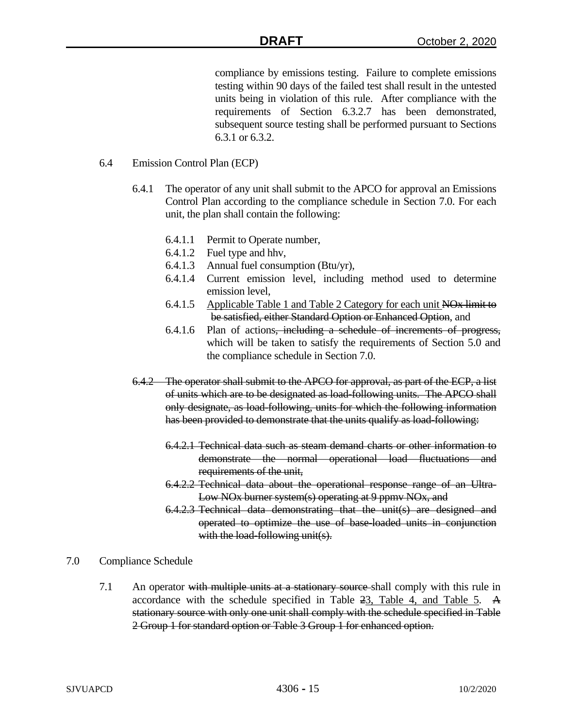compliance by emissions testing. Failure to complete emissions testing within 90 days of the failed test shall result in the untested units being in violation of this rule. After compliance with the requirements of Section 6.3.2.7 has been demonstrated, subsequent source testing shall be performed pursuant to Sections 6.3.1 or 6.3.2.

#### 6.4 Emission Control Plan (ECP)

- 6.4.1 The operator of any unit shall submit to the APCO for approval an Emissions Control Plan according to the compliance schedule in Section 7.0. For each unit, the plan shall contain the following:
	- 6.4.1.1 Permit to Operate number,
	- 6.4.1.2 Fuel type and hhv,
	- 6.4.1.3 Annual fuel consumption (Btu/yr),
	- 6.4.1.4 Current emission level, including method used to determine emission level,
	- 6.4.1.5 Applicable Table 1 and Table 2 Category for each unit NOx limit to be satisfied, either Standard Option or Enhanced Option, and
	- 6.4.1.6 Plan of actions, including a schedule of increments of progress, which will be taken to satisfy the requirements of Section 5.0 and the compliance schedule in Section 7.0.
- 6.4.2 The operator shall submit to the APCO for approval, as part of the ECP, a list of units which are to be designated as load-following units. The APCO shall only designate, as load-following, units for which the following information has been provided to demonstrate that the units qualify as load-following:
	- 6.4.2.1 Technical data such as steam demand charts or other information to demonstrate the normal operational load fluctuations and requirements of the unit,
	- 6.4.2.2 Technical data about the operational response range of an Ultra-Low NO<sub>x</sub> burner system(s) operating at 9 ppmy NO<sub>x</sub>, and
	- 6.4.2.3 Technical data demonstrating that the unit(s) are designed and operated to optimize the use of base-loaded units in conjunction with the load-following unit(s).
- 7.0 Compliance Schedule
	- 7.1 An operator with multiple units at a stationary source-shall comply with this rule in accordance with the schedule specified in Table 23, Table 4, and Table 5. A stationary source with only one unit shall comply with the schedule specified in Table 2 Group 1 for standard option or Table 3 Group 1 for enhanced option.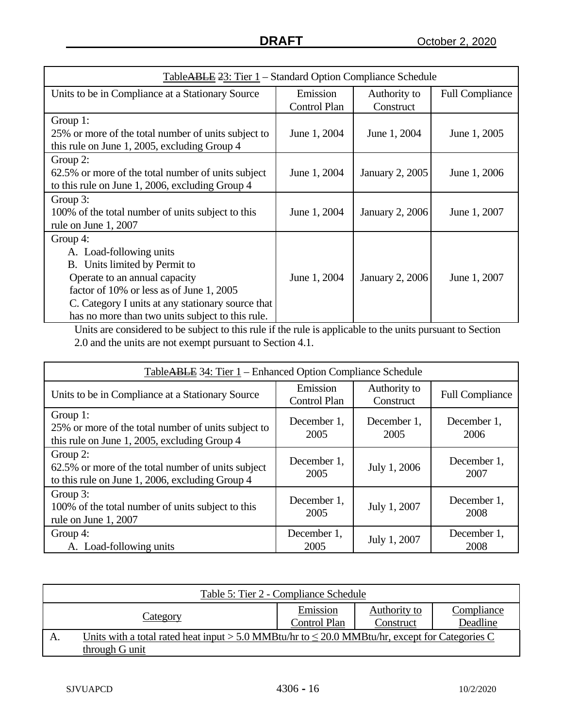| TableABLE 23: Tier 1 – Standard Option Compliance Schedule |                     |                        |                        |  |
|------------------------------------------------------------|---------------------|------------------------|------------------------|--|
| Units to be in Compliance at a Stationary Source           | Emission            | Authority to           | <b>Full Compliance</b> |  |
|                                                            | <b>Control Plan</b> | Construct              |                        |  |
| Group 1:                                                   |                     |                        |                        |  |
| 25% or more of the total number of units subject to        | June 1, 2004        | June 1, 2004           | June 1, 2005           |  |
| this rule on June 1, 2005, excluding Group 4               |                     |                        |                        |  |
| Group 2:                                                   |                     |                        |                        |  |
| 62.5% or more of the total number of units subject         | June 1, 2004        | January 2, 2005        | June 1, 2006           |  |
| to this rule on June 1, 2006, excluding Group 4            |                     |                        |                        |  |
| Group 3:                                                   |                     |                        |                        |  |
| 100% of the total number of units subject to this          | June 1, 2004        | <b>January 2, 2006</b> | June 1, 2007           |  |
| rule on June 1, 2007                                       |                     |                        |                        |  |
| Group 4:                                                   |                     |                        |                        |  |
| A. Load-following units                                    |                     |                        |                        |  |
| B. Units limited by Permit to                              |                     |                        |                        |  |
| Operate to an annual capacity                              | June 1, 2004        | <b>January 2, 2006</b> | June 1, 2007           |  |
| factor of 10% or less as of June 1, 2005                   |                     |                        |                        |  |
| C. Category I units at any stationary source that          |                     |                        |                        |  |
| has no more than two units subject to this rule.           |                     |                        |                        |  |

Units are considered to be subject to this rule if the rule is applicable to the units pursuant to Section 2.0 and the units are not exempt pursuant to Section 4.1.

| TableABLE 34: Tier 1 – Enhanced Option Compliance Schedule                                                         |                                 |                           |                        |  |  |
|--------------------------------------------------------------------------------------------------------------------|---------------------------------|---------------------------|------------------------|--|--|
| Units to be in Compliance at a Stationary Source                                                                   | Emission<br><b>Control Plan</b> | Authority to<br>Construct | <b>Full Compliance</b> |  |  |
| Group $1$ :<br>25% or more of the total number of units subject to<br>this rule on June 1, 2005, excluding Group 4 | December 1,<br>2005             | December 1,<br>2005       | December 1,<br>2006    |  |  |
| Group 2:<br>62.5% or more of the total number of units subject<br>to this rule on June 1, 2006, excluding Group 4  | December 1,<br>2005             | July 1, 2006              | December 1,<br>2007    |  |  |
| Group 3:<br>100% of the total number of units subject to this<br>rule on June 1, 2007                              | December 1,<br>2005             | July 1, 2007              | December 1,<br>2008    |  |  |
| Group 4:<br>A. Load-following units                                                                                | December 1,<br>2005             | July 1, 2007              | December 1,<br>2008    |  |  |

| Table 5: Tier 2 - Compliance Schedule |                                                                                                                       |                          |                           |                        |  |
|---------------------------------------|-----------------------------------------------------------------------------------------------------------------------|--------------------------|---------------------------|------------------------|--|
|                                       | Category                                                                                                              | Emission<br>Control Plan | Authority to<br>Construct | Compliance<br>Deadline |  |
| A.                                    | Units with a total rated heat input > 5.0 MMBtu/hr to $\leq$ 20.0 MMBtu/hr, except for Categories C<br>through G unit |                          |                           |                        |  |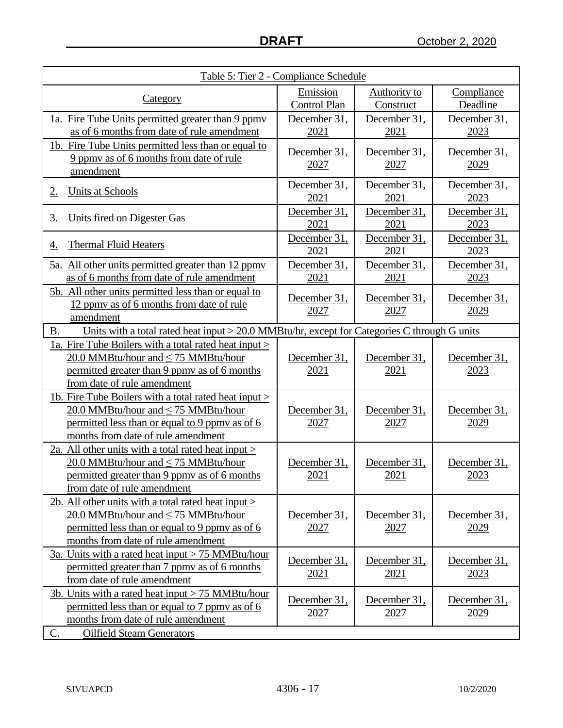| Table 5: Tier 2 - Compliance Schedule                                                                                                                                                     |                                 |                             |                             |  |
|-------------------------------------------------------------------------------------------------------------------------------------------------------------------------------------------|---------------------------------|-----------------------------|-----------------------------|--|
| Category                                                                                                                                                                                  | Emission<br><b>Control Plan</b> | Authority to<br>Construct   | Compliance<br>Deadline      |  |
| 1a. Fire Tube Units permitted greater than 9 ppmy<br>as of 6 months from date of rule amendment                                                                                           | December 31,<br>2021            | December 31,<br>2021        | December 31,<br>2023        |  |
| 1b. Fire Tube Units permitted less than or equal to<br>9 ppmy as of 6 months from date of rule<br>amendment                                                                               | December 31,<br>2027            | December 31,<br>2027        | December 31,<br>2029        |  |
| <b>Units at Schools</b><br>2.                                                                                                                                                             | December 31,<br>2021            | December 31,<br>2021        | December 31,<br>2023        |  |
| Units fired on Digester Gas<br><u>3.</u>                                                                                                                                                  | December 31,<br>2021            | December 31,<br>2021        | December 31,<br>2023        |  |
| <b>Thermal Fluid Heaters</b><br><u>4.</u>                                                                                                                                                 | December 31,<br>2021            | December 31,<br>2021        | December 31,<br>2023        |  |
| 5a. All other units permitted greater than 12 ppmy<br>as of 6 months from date of rule amendment                                                                                          | December 31,<br>2021            | December 31,<br>2021        | December 31,<br>2023        |  |
| 5b. All other units permitted less than or equal to<br>12 ppmy as of 6 months from date of rule<br>amendment                                                                              | December 31,<br>2027            | December 31,<br>2027        | December 31,<br>2029        |  |
| <b>B.</b><br>Units with a total rated heat input $> 20.0$ MMBtu/hr, except for Categories C through G units                                                                               |                                 |                             |                             |  |
| 1a. Fire Tube Boilers with a total rated heat input ><br>20.0 MMBtu/hour and $\leq$ 75 MMBtu/hour<br>permitted greater than 9 ppmy as of 6 months<br>from date of rule amendment          | December 31,<br>2021            | December 31,<br>2021        | December 31,<br>2023        |  |
| 1b. Fire Tube Boilers with a total rated heat input ><br>20.0 MMBtu/hour and $\leq$ 75 MMBtu/hour<br>permitted less than or equal to 9 ppmy as of 6<br>months from date of rule amendment | December 31,<br><u>2027</u>     | December 31,<br><u>2027</u> | December 31,<br><u>2029</u> |  |
| 2a. All other units with a total rated heat input $>$<br>20.0 MMBtu/hour and $\leq$ 75 MMBtu/hour<br>permitted greater than 9 ppmy as of 6 months<br>from date of rule amendment          | December 31,<br>2021            | December 31,<br>2021        | December 31,<br>2023        |  |
| 2b. All other units with a total rated heat input ><br>20.0 MMBtu/hour and $\leq$ 75 MMBtu/hour<br>permitted less than or equal to 9 ppmy as of 6<br>months from date of rule amendment   | December 31,<br>2027            | December 31,<br>2027        | December 31,<br>2029        |  |
| 3a. Units with a rated heat input $> 75$ MMBtu/hour<br>permitted greater than 7 ppmy as of 6 months<br>from date of rule amendment                                                        | December 31,<br>2021            | December 31,<br>2021        | December 31,<br>2023        |  |
| <u>3b. Units with a rated heat input <math>&gt; 75</math> MMBtu/hour</u><br>permitted less than or equal to 7 ppmy as of 6<br>months from date of rule amendment                          | December 31,<br>2027            | December 31,<br>2027        | December 31,<br>2029        |  |
| C.<br><b>Oilfield Steam Generators</b>                                                                                                                                                    |                                 |                             |                             |  |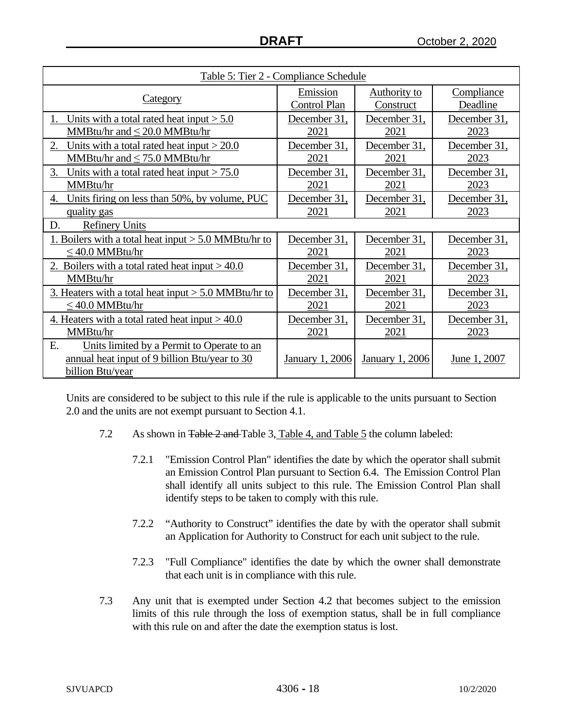| Table 5: Tier 2 - Compliance Schedule                                                                                 |                      |                        |                      |  |
|-----------------------------------------------------------------------------------------------------------------------|----------------------|------------------------|----------------------|--|
| <u>Category</u>                                                                                                       | Emission             | <b>Authority to</b>    | Compliance           |  |
|                                                                                                                       | Control Plan         | Construct              | Deadline             |  |
| Units with a total rated heat input $> 5.0$                                                                           | December 31,         | December 31,           | December 31,         |  |
| MMBtu/hr and $\leq$ 20.0 MMBtu/hr                                                                                     | 2021                 | 2021                   | 2023                 |  |
| 2.<br>Units with a total rated heat input $>$ 20.0<br>MMBtu/hr and $\leq$ 75.0 MMBtu/hr                               | December 31,<br>2021 | December 31,<br>2021   | December 31,<br>2023 |  |
| 3.<br>Units with a total rated heat input $> 75.0$<br>MMBtu/hr                                                        | December 31,<br>2021 | December 31,<br>2021   | December 31,<br>2023 |  |
| Units firing on less than 50%, by volume, PUC<br>4.<br>quality gas                                                    | December 31,<br>2021 | December 31,<br>2021   | December 31,<br>2023 |  |
| D.<br><b>Refinery Units</b>                                                                                           |                      |                        |                      |  |
| 1. Boilers with a total heat input $> 5.0$ MMBtu/hr to                                                                | December 31,         | December 31,           | December 31,         |  |
| $\leq$ 40.0 MMBtu/hr                                                                                                  | 2021                 | 2021                   | 2023                 |  |
| 2. Boilers with a total rated heat input $> 40.0$                                                                     | December 31,         | December 31,           | December 31,         |  |
| MMBtu/hr                                                                                                              | 2021                 | 2021                   | 2023                 |  |
| 3. Heaters with a total heat input $> 5.0$ MMBtu/hr to                                                                | December 31,         | December 31,           | December 31,         |  |
| $\leq$ 40.0 MMBtu/hr                                                                                                  | 2021                 | 2021                   | 2023                 |  |
| 4. Heaters with a total rated heat input $> 40.0$                                                                     | December 31,         | December 31,           | December 31,         |  |
| MMBtu/hr                                                                                                              | 2021                 | 2021                   | 2023                 |  |
| E.<br>Units limited by a Permit to Operate to an<br>annual heat input of 9 billion Btu/year to 30<br>billion Btu/year | January 1, 2006      | <b>January 1, 2006</b> | June 1, 2007         |  |

Units are considered to be subject to this rule if the rule is applicable to the units pursuant to Section 2.0 and the units are not exempt pursuant to Section 4.1.

- 7.2 As shown in Table 2 and Table 3, Table 4, and Table 5 the column labeled:
	- 7.2.1 "Emission Control Plan" identifies the date by which the operator shall submit an Emission Control Plan pursuant to Section 6.4. The Emission Control Plan shall identify all units subject to this rule. The Emission Control Plan shall identify steps to be taken to comply with this rule.
	- 7.2.2 "Authority to Construct" identifies the date by with the operator shall submit an Application for Authority to Construct for each unit subject to the rule.
	- 7.2.3 "Full Compliance" identifies the date by which the owner shall demonstrate that each unit is in compliance with this rule.
- 7.3 Any unit that is exempted under Section 4.2 that becomes subject to the emission limits of this rule through the loss of exemption status, shall be in full compliance with this rule on and after the date the exemption status is lost.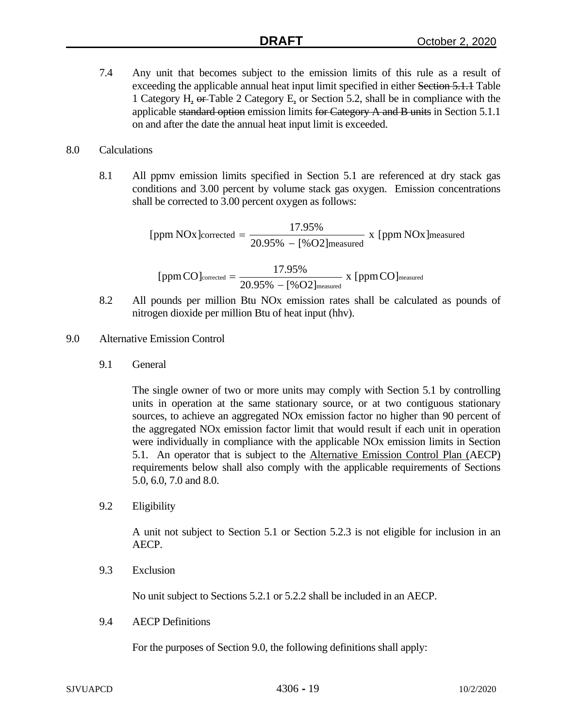7.4 Any unit that becomes subject to the emission limits of this rule as a result of exceeding the applicable annual heat input limit specified in either Section 5.1.1 Table 1 Category H, or Table 2 Category E, or Section 5.2, shall be in compliance with the applicable standard option emission limits for Category A and B units in Section 5.1.1 on and after the date the annual heat input limit is exceeded.

### 8.0 Calculations

8.1 All ppmv emission limits specified in Section 5.1 are referenced at dry stack gas conditions and 3.00 percent by volume stack gas oxygen. Emission concentrations shall be corrected to 3.00 percent oxygen as follows:

> measured [ppm NOx]corrected =  $\frac{17.95\%}{20.95\% - [%O2]$  measured x [ppm NOx]

$$
[ppm\,CO]_{\text{corrected}} = \frac{17.95\%}{20.95\% - [\%O2]_{\text{measured}}} \; x \; [ppm\,CO]_{\text{measured}}
$$

- 8.2 All pounds per million Btu NOx emission rates shall be calculated as pounds of nitrogen dioxide per million Btu of heat input (hhv).
- 9.0 Alternative Emission Control
	- 9.1 General

The single owner of two or more units may comply with Section 5.1 by controlling units in operation at the same stationary source, or at two contiguous stationary sources, to achieve an aggregated NOx emission factor no higher than 90 percent of the aggregated NOx emission factor limit that would result if each unit in operation were individually in compliance with the applicable NOx emission limits in Section 5.1. An operator that is subject to the **Alternative Emission Control Plan** (AECP) requirements below shall also comply with the applicable requirements of Sections 5.0, 6.0, 7.0 and 8.0.

9.2 Eligibility

A unit not subject to Section 5.1 or Section 5.2.3 is not eligible for inclusion in an AECP.

9.3 Exclusion

No unit subject to Sections 5.2.1 or 5.2.2 shall be included in an AECP.

9.4 AECP Definitions

For the purposes of Section 9.0, the following definitions shall apply: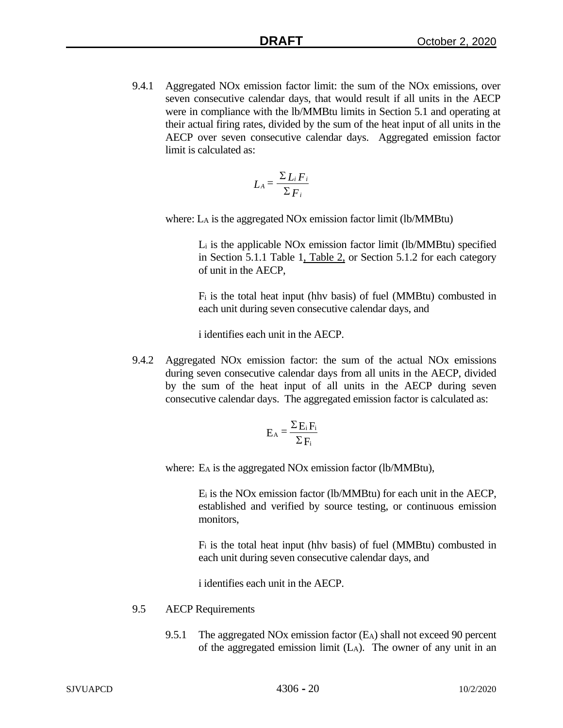9.4.1 Aggregated NOx emission factor limit: the sum of the NOx emissions, over seven consecutive calendar days, that would result if all units in the AECP were in compliance with the lb/MMBtu limits in Section 5.1 and operating at their actual firing rates, divided by the sum of the heat input of all units in the AECP over seven consecutive calendar days. Aggregated emission factor limit is calculated as:

$$
L_A = \frac{\sum L_i F_i}{\sum F_i}
$$

where: LA is the aggregated NOx emission factor limit (lb/MMBtu)

Li is the applicable NOx emission factor limit (lb/MMBtu) specified in Section 5.1.1 Table 1, Table 2, or Section 5.1.2 for each category of unit in the AECP,

 $F_i$  is the total heat input (hhv basis) of fuel (MMBtu) combusted in each unit during seven consecutive calendar days, and

i identifies each unit in the AECP.

9.4.2 Aggregated NOx emission factor: the sum of the actual NOx emissions during seven consecutive calendar days from all units in the AECP, divided by the sum of the heat input of all units in the AECP during seven consecutive calendar days. The aggregated emission factor is calculated as:

$$
E_A = \frac{\Sigma E_i F_i}{\Sigma F_i}
$$

where: E<sub>A</sub> is the aggregated NO<sub>x</sub> emission factor (lb/MMBtu),

Ei is the NOx emission factor (lb/MMBtu) for each unit in the AECP, established and verified by source testing, or continuous emission monitors,

Fi is the total heat input (hhv basis) of fuel (MMBtu) combusted in each unit during seven consecutive calendar days, and

i identifies each unit in the AECP.

### 9.5 AECP Requirements

9.5.1 The aggregated NOx emission factor (EA) shall not exceed 90 percent of the aggregated emission limit  $(L_A)$ . The owner of any unit in an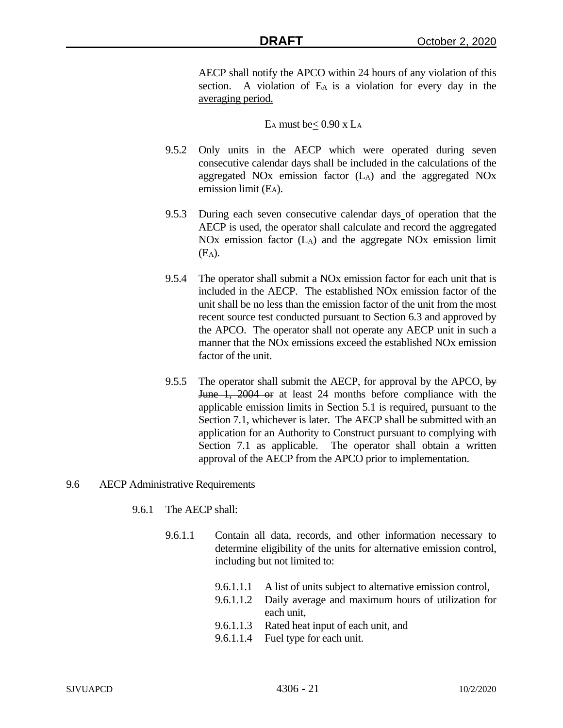AECP shall notify the APCO within 24 hours of any violation of this section. A violation of E<sub>A</sub> is a violation for every day in the averaging period.

# E<sub>A</sub> must be  $\leq 0.90$  x L<sub>A</sub>

- 9.5.2 Only units in the AECP which were operated during seven consecutive calendar days shall be included in the calculations of the aggregated NOx emission factor (LA) and the aggregated NOx emission limit (E<sub>A</sub>).
- 9.5.3 During each seven consecutive calendar days of operation that the AECP is used, the operator shall calculate and record the aggregated NOx emission factor (LA) and the aggregate NOx emission limit (EA).
- 9.5.4 The operator shall submit a NOx emission factor for each unit that is included in the AECP. The established NOx emission factor of the unit shall be no less than the emission factor of the unit from the most recent source test conducted pursuant to Section 6.3 and approved by the APCO. The operator shall not operate any AECP unit in such a manner that the NO<sub>x</sub> emissions exceed the established NO<sub>x</sub> emission factor of the unit.
- 9.5.5 The operator shall submit the AECP, for approval by the APCO,  $\frac{1}{2}$ June 1, 2004 or at least 24 months before compliance with the applicable emission limits in Section 5.1 is required, pursuant to the Section 7.1, whichever is later. The AECP shall be submitted with an application for an Authority to Construct pursuant to complying with Section 7.1 as applicable. The operator shall obtain a written approval of the AECP from the APCO prior to implementation.

### 9.6 AECP Administrative Requirements

- 9.6.1 The AECP shall:
	- 9.6.1.1 Contain all data, records, and other information necessary to determine eligibility of the units for alternative emission control, including but not limited to:
		- 9.6.1.1.1 A list of units subject to alternative emission control,
		- 9.6.1.1.2 Daily average and maximum hours of utilization for each unit,
		- 9.6.1.1.3 Rated heat input of each unit, and
		- 9.6.1.1.4 Fuel type for each unit.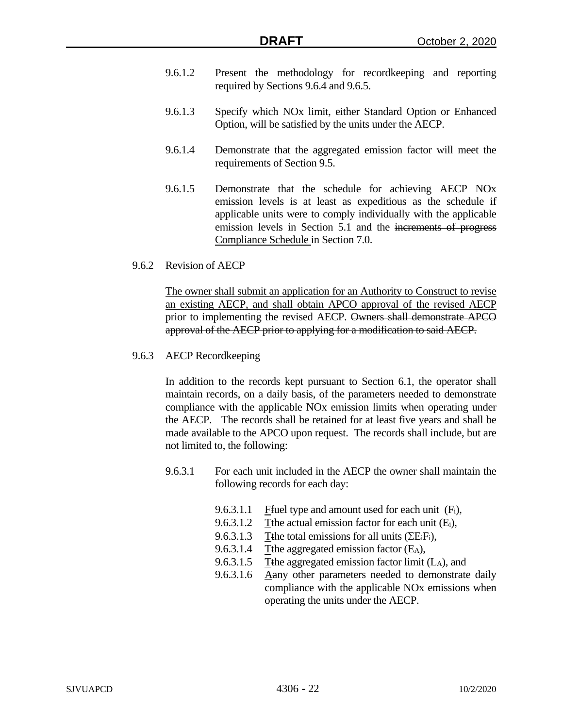- 9.6.1.2 Present the methodology for recordkeeping and reporting required by Sections 9.6.4 and 9.6.5.
- 9.6.1.3 Specify which NOx limit, either Standard Option or Enhanced Option, will be satisfied by the units under the AECP.
- 9.6.1.4 Demonstrate that the aggregated emission factor will meet the requirements of Section 9.5.
- 9.6.1.5 Demonstrate that the schedule for achieving AECP NOx emission levels is at least as expeditious as the schedule if applicable units were to comply individually with the applicable emission levels in Section 5.1 and the increments of progress Compliance Schedule in Section 7.0.
- 9.6.2 Revision of AECP

The owner shall submit an application for an Authority to Construct to revise an existing AECP, and shall obtain APCO approval of the revised AECP prior to implementing the revised AECP. Owners shall demonstrate APCO approval of the AECP prior to applying for a modification to said AECP.

9.6.3 AECP Recordkeeping

In addition to the records kept pursuant to Section 6.1, the operator shall maintain records, on a daily basis, of the parameters needed to demonstrate compliance with the applicable NOx emission limits when operating under the AECP. The records shall be retained for at least five years and shall be made available to the APCO upon request. The records shall include, but are not limited to, the following:

- 9.6.3.1 For each unit included in the AECP the owner shall maintain the following records for each day:
	- 9.6.3.1.1 Fivel type and amount used for each unit  $(F_i)$ ,
	- 9.6.3.1.2 Tthe actual emission factor for each unit (E<sub>i</sub>),
	- 9.6.3.1.3 Tthe total emissions for all units  $(\Sigma E_i F_i)$ ,
	- 9.6.3.1.4 Tthe aggregated emission factor (E<sub>A</sub>),
	- 9.6.3.1.5 Tthe aggregated emission factor limit  $(L_A)$ , and
	- 9.6.3.1.6 Aany other parameters needed to demonstrate daily compliance with the applicable NOx emissions when operating the units under the AECP.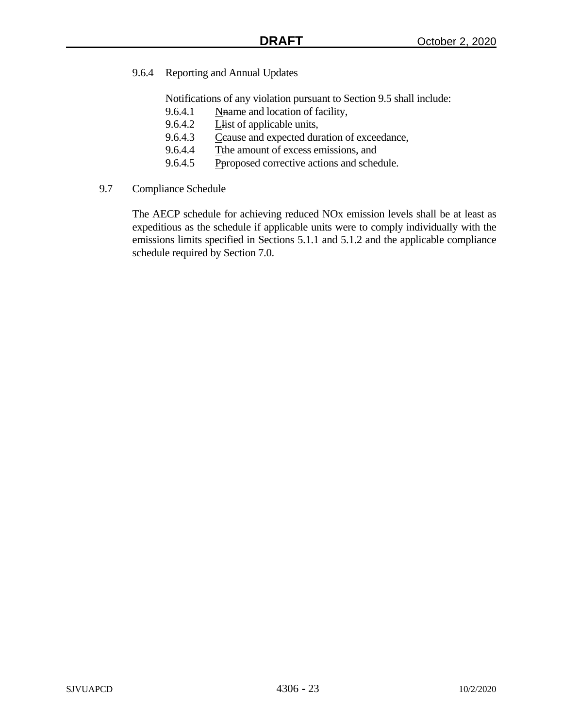# 9.6.4 Reporting and Annual Updates

Notifications of any violation pursuant to Section 9.5 shall include:

- 9.6.4.1 Nhame and location of facility,
- 9.6.4.2 **Let** Let of applicable units,
- 9.6.4.3 Ceause and expected duration of exceedance,
- 9.6.4.4 Tthe amount of excess emissions, and
- 9.6.4.5 Peroposed corrective actions and schedule.
- 9.7 Compliance Schedule

The AECP schedule for achieving reduced NOx emission levels shall be at least as expeditious as the schedule if applicable units were to comply individually with the emissions limits specified in Sections 5.1.1 and 5.1.2 and the applicable compliance schedule required by Section 7.0.